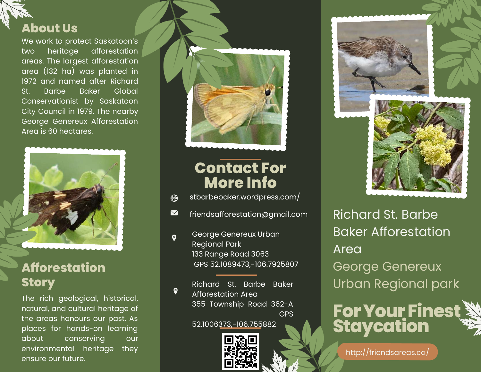

## We work to protect Saskatoon's two heritage afforestation areas. The largest afforestation area (132 ha) was planted in 1972 and named after Richard St. Barbe Baker Global Conservationist by Saskatoon City Council in 1979. The nearby George Genereux Afforestation Area is 60 hectares.



## **Afforestation Story**

The rich geological, historical, natural, and cultural heritage of the areas honours our past. As places for hands-on learning about conserving our environmental heritage they ensure our future.



## **Contact For More Info**

- stbarbebaker.wordpress.com/ </u>
- $\boldsymbol{\nabla}$ friendsafforestation@gmail.com
- George Genereux Urban  $\bullet$ Regional Park 133 Range Road 3063 GPS 52.1089473,-106.7925807

Richard St. Barbe Baker Afforestation Area 355 Township Road 362-A GPS

 $\bullet$ 

52.1006373,-106.755882







Richard St. Barbe Baker Afforestation Area George Genereux Urban Regional park



http://friendsareas.ca/